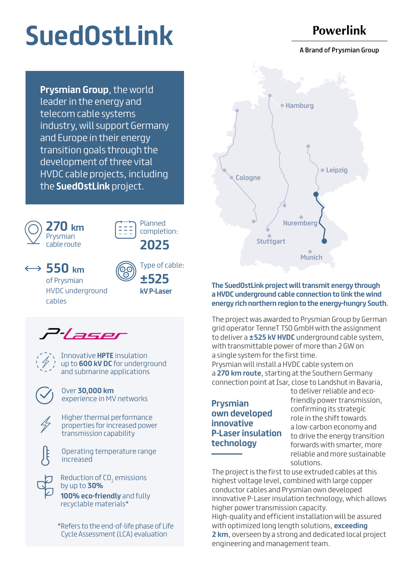# **SuedOstLink**

## **Powerlink**

A Brand of Prysmian Group

**Prysmian Group**, the world leader in the energy and telecom cable systems industry, will support Germany and Europe in their energy transition goals through the development of three vital HVDC cable projects, including the **SuedOstLink** project.





Planned completion: **2025** 

 $\leftrightarrow$  550 km

of Prysmian HVDC underground cables



**±525 kV P-Laser**





Innovative **HPTE** insulation up to **600 kV DC** for underground and submarine applications

Over **30,000 km** experience in MV networks

Higher thermal performance properties for increased power transmission capability

Operating temperature range increased

**100% eco-friendly** and fully recyclable materials\* Reduction of CO<sub>2</sub> emissions by up to **30%** 

\*Refers to the end-of-life phase of Life Cycle Assessment (LCA) evaluation



#### **The SuedOstLink project will transmit energy through a HVDC underground cable connection to link the wind energy rich northern region to the energy-hungry South.**

The project was awarded to Prysmian Group by German grid operator TenneT TSO GmbH with the assignment to deliver a **±525 kV HVDC** underground cable system, with transmittable power of more than 2 GW on a single system for the first time. Prysmian will install a HVDC cable system on

a **270 km route**, starting at the Southern Germany connection point at Isar, close to Landshut in Bavaria,

## **Prysmian own developed innovative P-Laser insulation technology**

to deliver reliable and ecofriendly power transmission, confirming its strategic role in the shift towards a low-carbon economy and to drive the energy transition forwards with smarter, more reliable and more sustainable solutions.

The project is the first to use extruded cables at this highest voltage level, combined with large copper conductor cables and Prysmian own developed innovative P-Laser insulation technology, which allows higher power transmission capacity. High-quality and efficient installation will be assured with optimized long length solutions, **exceeding 2 km**, overseen by a strong and dedicated local project engineering and management team.